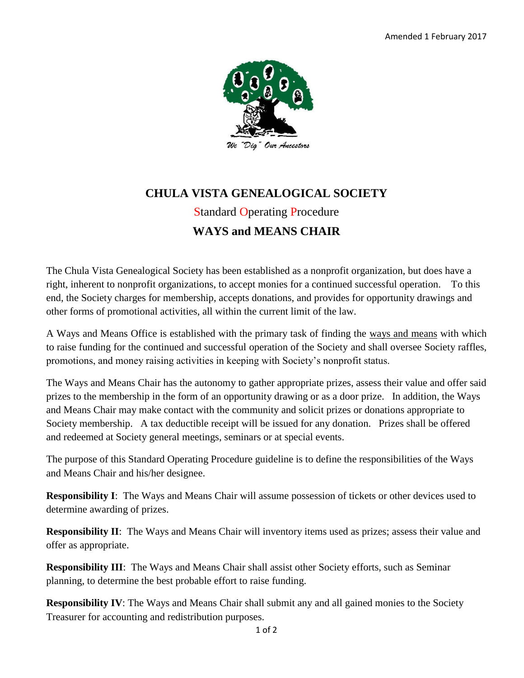

## **CHULA VISTA GENEALOGICAL SOCIETY** Standard Operating Procedure **WAYS and MEANS CHAIR**

The Chula Vista Genealogical Society has been established as a nonprofit organization, but does have a right, inherent to nonprofit organizations, to accept monies for a continued successful operation. To this end, the Society charges for membership, accepts donations, and provides for opportunity drawings and other forms of promotional activities, all within the current limit of the law.

A Ways and Means Office is established with the primary task of finding the ways and means with which to raise funding for the continued and successful operation of the Society and shall oversee Society raffles, promotions, and money raising activities in keeping with Society's nonprofit status.

The Ways and Means Chair has the autonomy to gather appropriate prizes, assess their value and offer said prizes to the membership in the form of an opportunity drawing or as a door prize. In addition, the Ways and Means Chair may make contact with the community and solicit prizes or donations appropriate to Society membership. A tax deductible receipt will be issued for any donation. Prizes shall be offered and redeemed at Society general meetings, seminars or at special events.

The purpose of this Standard Operating Procedure guideline is to define the responsibilities of the Ways and Means Chair and his/her designee.

**Responsibility I**: The Ways and Means Chair will assume possession of tickets or other devices used to determine awarding of prizes.

**Responsibility II**: The Ways and Means Chair will inventory items used as prizes; assess their value and offer as appropriate.

**Responsibility III**: The Ways and Means Chair shall assist other Society efforts, such as Seminar planning, to determine the best probable effort to raise funding.

**Responsibility IV**: The Ways and Means Chair shall submit any and all gained monies to the Society Treasurer for accounting and redistribution purposes.